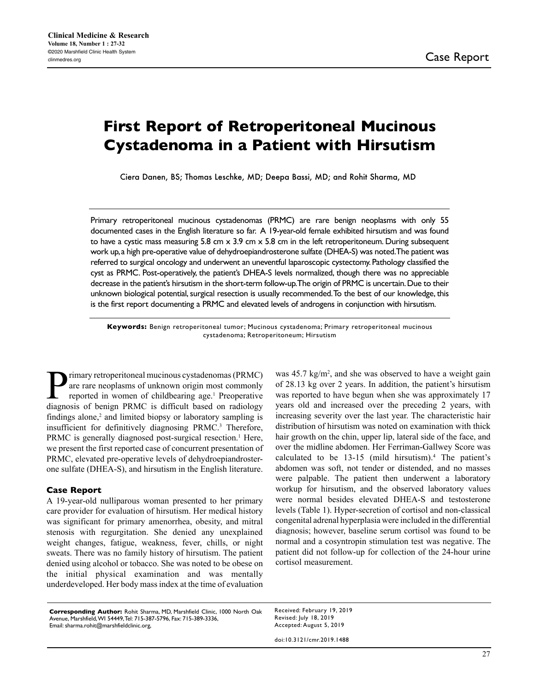# **First Report of Retroperitoneal Mucinous Cystadenoma in a Patient with Hirsutism**

Ciera Danen, BS; Thomas Leschke, MD; Deepa Bassi, MD; and Rohit Sharma, MD

Primary retroperitoneal mucinous cystadenomas (PRMC) are rare benign neoplasms with only 55 documented cases in the English literature so far. A 19-year-old female exhibited hirsutism and was found to have a cystic mass measuring 5.8 cm  $\times$  3.9 cm  $\times$  5.8 cm in the left retroperitoneum. During subsequent work up, a high pre-operative value of dehydroepiandrosterone sulfate (DHEA-S) was noted. The patient was referred to surgical oncology and underwent an uneventful laparoscopic cystectomy. Pathology classified the cyst as PRMC. Post-operatively, the patient's DHEA-S levels normalized, though there was no appreciable decrease in the patient's hirsutism in the short-term follow-up. The origin of PRMC is uncertain. Due to their unknown biological potential, surgical resection is usually recommended. To the best of our knowledge, this is the first report documenting a PRMC and elevated levels of androgens in conjunction with hirsutism.

**Keywords:** Benign retroperitoneal tumor; Mucinous cystadenoma; Primary retroperitoneal mucinous cystadenoma; Retroperitoneum; Hirsutism

**P** rimary retroperitoneal mucinous cystadenomas (PRMC)<br>reported in women of childbearing age.<sup>1</sup> Preoperative<br>diagnosis of benign PRMC is difficult based on radiology are rare neoplasms of unknown origin most commonly reported in women of childbearing age.<sup>1</sup> Preoperative diagnosis of benign PRMC is difficult based on radiology findings alone, $2$  and limited biopsy or laboratory sampling is insufficient for definitively diagnosing PRMC.<sup>3</sup> Therefore, PRMC is generally diagnosed post-surgical resection.<sup>1</sup> Here, we present the first reported case of concurrent presentation of PRMC, elevated pre-operative levels of dehydroepiandrosterone sulfate (DHEA-S), and hirsutism in the English literature.

#### **Case Report**

A 19-year-old nulliparous woman presented to her primary care provider for evaluation of hirsutism. Her medical history was significant for primary amenorrhea, obesity, and mitral stenosis with regurgitation. She denied any unexplained weight changes, fatigue, weakness, fever, chills, or night sweats. There was no family history of hirsutism. The patient denied using alcohol or tobacco. She was noted to be obese on the initial physical examination and was mentally underdeveloped. Her body mass index at the time of evaluation

was  $45.7 \text{ kg/m}^2$ , and she was observed to have a weight gain of 28.13 kg over 2 years. In addition, the patient's hirsutism was reported to have begun when she was approximately 17 years old and increased over the preceding 2 years, with increasing severity over the last year. The characteristic hair distribution of hirsutism was noted on examination with thick hair growth on the chin, upper lip, lateral side of the face, and over the midline abdomen. Her Ferriman-Gallwey Score was calculated to be  $13-15$  (mild hirsutism).<sup>4</sup> The patient's abdomen was soft, not tender or distended, and no masses were palpable. The patient then underwent a laboratory workup for hirsutism, and the observed laboratory values were normal besides elevated DHEA-S and testosterone levels (Table 1). Hyper-secretion of cortisol and non-classical congenital adrenal hyperplasia were included in the differential diagnosis; however, baseline serum cortisol was found to be normal and a cosyntropin stimulation test was negative. The patient did not follow-up for collection of the 24-hour urine cortisol measurement.

**Corresponding Author:** Rohit Sharma, MD, Marshfield Clinic, 1000 North Oak Avenue, Marshfield, WI 54449, Tel: 715-387-5796, Fax: 715-389-3336, Email: sharma.rohit@marshfieldclinic.org,

Received: February 19, 2019 Revised: July 18, 2019 Accepted: August 5, 2019

doi:10.3121/cmr.2019.1488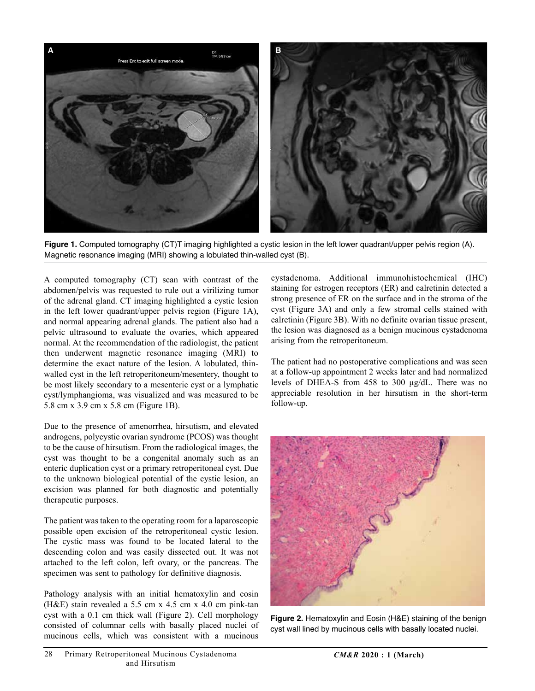

**Figure 1.** Computed tomography (CT)T imaging highlighted a cystic lesion in the left lower quadrant/upper pelvis region (A). Magnetic resonance imaging (MRI) showing a lobulated thin-walled cyst (B).

A computed tomography (CT) scan with contrast of the abdomen/pelvis was requested to rule out a virilizing tumor of the adrenal gland. CT imaging highlighted a cystic lesion in the left lower quadrant/upper pelvis region (Figure 1A), and normal appearing adrenal glands. The patient also had a pelvic ultrasound to evaluate the ovaries, which appeared normal. At the recommendation of the radiologist, the patient then underwent magnetic resonance imaging (MRI) to determine the exact nature of the lesion. A lobulated, thinwalled cyst in the left retroperitoneum/mesentery, thought to be most likely secondary to a mesenteric cyst or a lymphatic cyst/lymphangioma, was visualized and was measured to be 5.8 cm x 3.9 cm x 5.8 cm (Figure 1B).

Due to the presence of amenorrhea, hirsutism, and elevated androgens, polycystic ovarian syndrome (PCOS) was thought to be the cause of hirsutism. From the radiological images, the cyst was thought to be a congenital anomaly such as an enteric duplication cyst or a primary retroperitoneal cyst. Due to the unknown biological potential of the cystic lesion, an excision was planned for both diagnostic and potentially therapeutic purposes.

The patient was taken to the operating room for a laparoscopic possible open excision of the retroperitoneal cystic lesion. The cystic mass was found to be located lateral to the descending colon and was easily dissected out. It was not attached to the left colon, left ovary, or the pancreas. The specimen was sent to pathology for definitive diagnosis.

Pathology analysis with an initial hematoxylin and eosin (H&E) stain revealed a 5.5 cm x 4.5 cm x 4.0 cm pink-tan cyst with a 0.1 cm thick wall (Figure 2). Cell morphology consisted of columnar cells with basally placed nuclei of mucinous cells, which was consistent with a mucinous cystadenoma. Additional immunohistochemical (IHC) staining for estrogen receptors (ER) and calretinin detected a strong presence of ER on the surface and in the stroma of the cyst (Figure 3A) and only a few stromal cells stained with calretinin (Figure 3B). With no definite ovarian tissue present, the lesion was diagnosed as a benign mucinous cystadenoma arising from the retroperitoneum.

The patient had no postoperative complications and was seen at a follow-up appointment 2 weeks later and had normalized levels of DHEA-S from 458 to 300 μg/dL. There was no appreciable resolution in her hirsutism in the short-term follow-up.



**Figure 2.** Hematoxylin and Eosin (H&E) staining of the benign cyst wall lined by mucinous cells with basally located nuclei.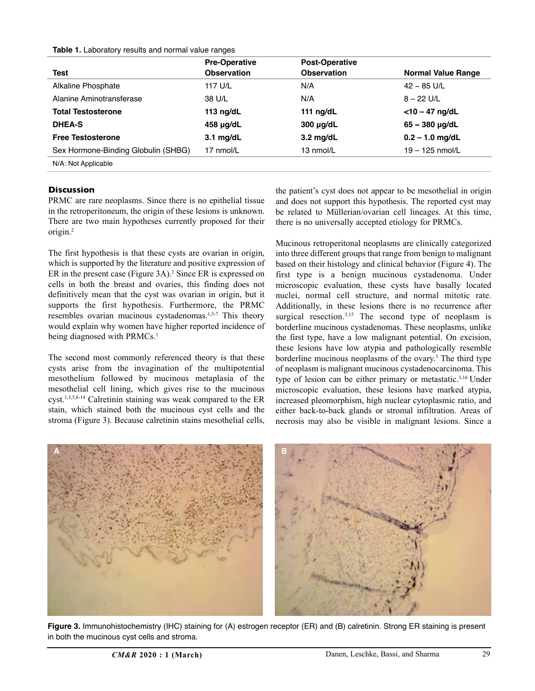#### **Table 1.** Laboratory results and normal value ranges

|                                     | <b>Pre-Operative</b> | <b>Post-Operative</b> |                           |
|-------------------------------------|----------------------|-----------------------|---------------------------|
| Test                                | <b>Observation</b>   | <b>Observation</b>    | <b>Normal Value Range</b> |
| Alkaline Phosphate                  | 117 U/L              | N/A                   | $42 - 85$ U/L             |
| Alanine Aminotransferase            | 38 U/L               | N/A                   | $8 - 22$ U/L              |
| <b>Total Testosterone</b>           | 113 $\log/dL$        | 111 $nq/dL$           | $<$ 10 – 47 ng/dL         |
| <b>DHEA-S</b>                       | 458 µg/dL            | 300 µg/dL             | $65 - 380$ µg/dL          |
| <b>Free Testosterone</b>            | $3.1$ mg/dL          | $3.2$ mg/dL           | $0.2 - 1.0$ mg/dL         |
| Sex Hormone-Binding Globulin (SHBG) | 17 nmol/L            | 13 nmol/L             | $19 - 125$ nmol/L         |
| N/A: Not Applicable                 |                      |                       |                           |

## **Discussion**

PRMC are rare neoplasms. Since there is no epithelial tissue in the retroperitoneum, the origin of these lesions is unknown. There are two main hypotheses currently proposed for their origin.2

The first hypothesis is that these cysts are ovarian in origin, which is supported by the literature and positive expression of ER in the present case (Figure 3A).<sup>2</sup> Since ER is expressed on cells in both the breast and ovaries, this finding does not definitively mean that the cyst was ovarian in origin, but it supports the first hypothesis. Furthermore, the PRMC resembles ovarian mucinous cystadenomas.<sup>1,5-7</sup> This theory would explain why women have higher reported incidence of being diagnosed with PRMCs.<sup>1</sup>

The second most commonly referenced theory is that these cysts arise from the invagination of the multipotential mesothelium followed by mucinous metaplasia of the mesothelial cell lining, which gives rise to the mucinous cyst.1,3,5,8-14 Calretinin staining was weak compared to the ER stain, which stained both the mucinous cyst cells and the stroma (Figure 3). Because calretinin stains mesothelial cells, the patient's cyst does not appear to be mesothelial in origin and does not support this hypothesis. The reported cyst may be related to Müllerian/ovarian cell lineages. At this time, there is no universally accepted etiology for PRMCs.

Mucinous retroperitonal neoplasms are clinically categorized into three different groups that range from benign to malignant based on their histology and clinical behavior (Figure 4). The first type is a benign mucinous cystadenoma. Under microscopic evaluation, these cysts have basally located nuclei, normal cell structure, and normal mitotic rate. Additionally, in these lesions there is no recurrence after surgical resection.<sup>3,15</sup> The second type of neoplasm is borderline mucinous cystadenomas. These neoplasms, unlike the first type, have a low malignant potential. On excision, these lesions have low atypia and pathologically resemble borderline mucinous neoplasms of the ovary.<sup>3</sup> The third type of neoplasm is malignant mucinous cystadenocarcinoma. This type of lesion can be either primary or metastatic.<sup>3,16</sup> Under microscopic evaluation, these lesions have marked atypia, increased pleomorphism, high nuclear cytoplasmic ratio, and either back-to-back glands or stromal infiltration. Areas of necrosis may also be visible in malignant lesions. Since a



**Figure 3.** Immunohistochemistry (IHC) staining for (A) estrogen receptor (ER) and (B) calretinin. Strong ER staining is present in both the mucinous cyst cells and stroma.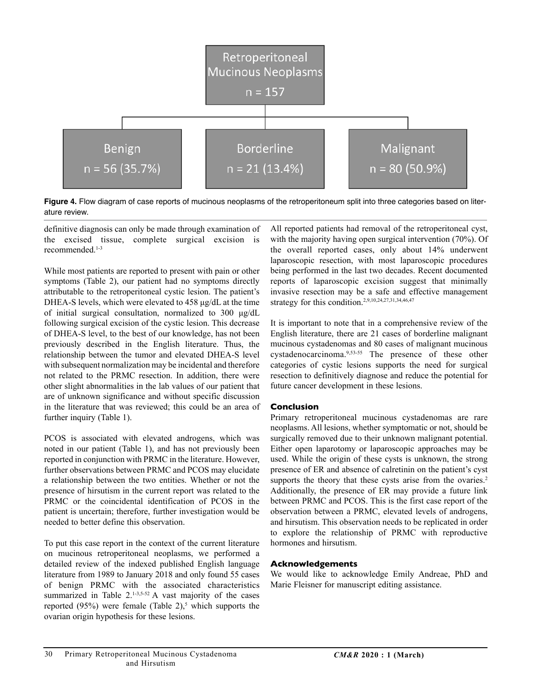

**Figure 4.** Flow diagram of case reports of mucinous neoplasms of the retroperitoneum split into three categories based on literature review.

definitive diagnosis can only be made through examination of the excised tissue, complete surgical excision is recommended.1-3

While most patients are reported to present with pain or other symptoms (Table 2), our patient had no symptoms directly attributable to the retroperitoneal cystic lesion. The patient's DHEA-S levels, which were elevated to 458 μg/dL at the time of initial surgical consultation, normalized to 300 μg/dL following surgical excision of the cystic lesion. This decrease of DHEA-S level, to the best of our knowledge, has not been previously described in the English literature. Thus, the relationship between the tumor and elevated DHEA-S level with subsequent normalization may be incidental and therefore not related to the PRMC resection. In addition, there were other slight abnormalities in the lab values of our patient that are of unknown significance and without specific discussion in the literature that was reviewed; this could be an area of further inquiry (Table 1).

PCOS is associated with elevated androgens, which was noted in our patient (Table 1), and has not previously been reported in conjunction with PRMC in the literature. However, further observations between PRMC and PCOS may elucidate a relationship between the two entities. Whether or not the presence of hirsutism in the current report was related to the PRMC or the coincidental identification of PCOS in the patient is uncertain; therefore, further investigation would be needed to better define this observation.

To put this case report in the context of the current literature on mucinous retroperitoneal neoplasms, we performed a detailed review of the indexed published English language literature from 1989 to January 2018 and only found 55 cases of benign PRMC with the associated characteristics summarized in Table  $2.1 - 3.5 - 52$  A vast majority of the cases reported  $(95%)$  were female (Table 2),<sup>5</sup> which supports the ovarian origin hypothesis for these lesions.

All reported patients had removal of the retroperitoneal cyst, with the majority having open surgical intervention (70%). Of the overall reported cases, only about 14% underwent laparoscopic resection, with most laparoscopic procedures being performed in the last two decades. Recent documented reports of laparoscopic excision suggest that minimally invasive resection may be a safe and effective management strategy for this condition.<sup>2,9,10,24,27,31,34,46,47</sup>

It is important to note that in a comprehensive review of the English literature, there are 21 cases of borderline malignant mucinous cystadenomas and 80 cases of malignant mucinous cystadenocarcinoma.9,53-55 The presence of these other categories of cystic lesions supports the need for surgical resection to definitively diagnose and reduce the potential for future cancer development in these lesions.

## **Conclusion**

Primary retroperitoneal mucinous cystadenomas are rare neoplasms. All lesions, whether symptomatic or not, should be surgically removed due to their unknown malignant potential. Either open laparotomy or laparoscopic approaches may be used. While the origin of these cysts is unknown, the strong presence of ER and absence of calretinin on the patient's cyst supports the theory that these cysts arise from the ovaries.<sup>2</sup> Additionally, the presence of ER may provide a future link between PRMC and PCOS. This is the first case report of the observation between a PRMC, elevated levels of androgens, and hirsutism. This observation needs to be replicated in order to explore the relationship of PRMC with reproductive hormones and hirsutism.

## **Acknowledgements**

We would like to acknowledge Emily Andreae, PhD and Marie Fleisner for manuscript editing assistance.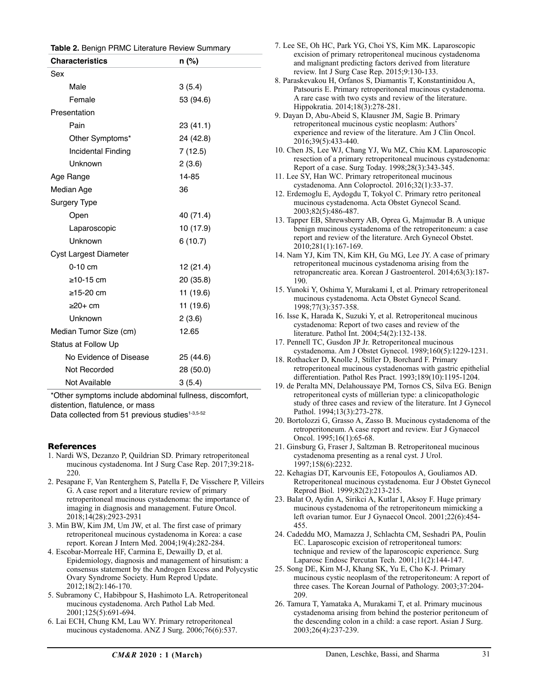| <b>Characteristics</b> | n (%)     |  |
|------------------------|-----------|--|
| Sex                    |           |  |
| Male                   | 3(5.4)    |  |
| Female                 | 53 (94.6) |  |
| Presentation           |           |  |
| Pain                   | 23 (41.1) |  |
| Other Symptoms*        | 24 (42.8) |  |
| Incidental Finding     | 7(12.5)   |  |
| Unknown                | 2(3.6)    |  |
| Age Range              | 14-85     |  |
| Median Age             | 36        |  |
| <b>Surgery Type</b>    |           |  |
| Open                   | 40 (71.4) |  |
| Laparoscopic           | 10 (17.9) |  |
| Unknown                | 6(10.7)   |  |
| Cyst Largest Diameter  |           |  |
| $0-10$ cm              | 12 (21.4) |  |
| $\geq$ 10-15 cm        | 20 (35.8) |  |
| $\ge$ 15-20 cm         | 11 (19.6) |  |
| $\geq 20+$ cm          | 11 (19.6) |  |
| Unknown                | 2(3.6)    |  |
| Median Tumor Size (cm) | 12.65     |  |
| Status at Follow Up    |           |  |
| No Evidence of Disease | 25 (44.6) |  |
| Not Recorded           | 28 (50.0) |  |
| Not Available          | 3(5.4)    |  |

\*Other symptoms include abdominal fullness, discomfort, distention, flatulence, or mass

Data collected from 51 previous studies<sup>1-3,5-52</sup>

## **References**

- 1. Nardi WS, Dezanzo P, Quildrian SD. Primary retroperitoneal mucinous cystadenoma. Int J Surg Case Rep. 2017;39:218- 220.
- 2. Pesapane F, Van Renterghem S, Patella F, De Visschere P, Villeirs G. A case report and a literature review of primary retroperitoneal mucinous cystadenoma: the importance of imaging in diagnosis and management. Future Oncol. 2018;14(28):2923-2931
- 3. Min BW, Kim JM, Um JW, et al. The first case of primary retroperitoneal mucinous cystadenoma in Korea: a case report. Korean J Intern Med. 2004;19(4):282-284.
- 4. Escobar-Morreale HF, Carmina E, Dewailly D, et al. Epidemiology, diagnosis and management of hirsutism: a consensus statement by the Androgen Excess and Polycystic Ovary Syndrome Society. Hum Reprod Update. 2012;18(2):146-170.
- 5. Subramony C, Habibpour S, Hashimoto LA. Retroperitoneal mucinous cystadenoma. Arch Pathol Lab Med. 2001;125(5):691-694.
- 6. Lai ECH, Chung KM, Lau WY. Primary retroperitoneal mucinous cystadenoma. ANZ J Surg. 2006;76(6):537.

| 7. Lee SE, Oh HC, Park YG, Choi YS, Kim MK. Laparoscopic                                                                |
|-------------------------------------------------------------------------------------------------------------------------|
| excision of primary retroperitoneal mucinous cystadenoma                                                                |
| and malignant predicting factors derived from literature                                                                |
| review. Int J Surg Case Rep. 2015;9:130-133.                                                                            |
| 8. Paraskevakou H, Orfanos S, Diamantis T, Konstantinidou A,                                                            |
| Patsouris E. Primary retroperitoneal mucinous cystadenoma.                                                              |
| A rare case with two cysts and review of the literature.                                                                |
| Hippokratia. 2014;18(3):278-281.                                                                                        |
| 9. Dayan D, Abu-Abeid S, Klausner JM, Sagie B. Primary<br>retroperitoneal mucinous cystic neoplasm: Authors'            |
| experience and review of the literature. Am J Clin Oncol.                                                               |
| 2016;39(5):433-440.                                                                                                     |
| 10. Chen JS, Lee WJ, Chang YJ, Wu MZ, Chiu KM. Laparoscopic                                                             |
| resection of a primary retroperitoneal mucinous cystadenoma:                                                            |
| Report of a case. Surg Today. 1998;28(3):343-345.                                                                       |
| 11. Lee SY, Han WC. Primary retroperitoneal mucinous                                                                    |
| cystadenoma. Ann Coloproctol. 2016;32(1):33-37.                                                                         |
| 12. Erdemoglu E, Aydogdu T, Tokyol C. Primary retro peritoneal                                                          |
| mucinous cystadenoma. Acta Obstet Gynecol Scand.                                                                        |
| 2003;82(5):486-487.                                                                                                     |
| 13. Tapper EB, Shrewsberry AB, Oprea G, Majmudar B. A unique                                                            |
| benign mucinous cystadenoma of the retroperitoneum: a case<br>report and review of the literature. Arch Gynecol Obstet. |
| 2010;281(1):167-169.                                                                                                    |
| 14. Nam YJ, Kim TN, Kim KH, Gu MG, Lee JY. A case of primary                                                            |
| retroperitoneal mucinous cystadenoma arising from the                                                                   |
| retropancreatic area. Korean J Gastroenterol. 2014;63(3):187-                                                           |
| 190.                                                                                                                    |
| 15. Yunoki Y, Oshima Y, Murakami I, et al. Primary retroperitoneal                                                      |
| mucinous cystadenoma. Acta Obstet Gynecol Scand.                                                                        |
| 1998;77(3):357-358.                                                                                                     |
| 16. Isse K, Harada K, Suzuki Y, et al. Retroperitoneal mucinous                                                         |
| cystadenoma: Report of two cases and review of the                                                                      |
| literature. Pathol Int. 2004;54(2):132-138.<br>17. Pennell TC, Gusdon JP Jr. Retroperitoneal mucinous                   |
| cystadenoma. Am J Obstet Gynecol. 1989;160(5):1229-1231.                                                                |
| 18. Rothacker D, Knolle J, Stiller D, Borchard F. Primary                                                               |
| retroperitoneal mucinous cystadenomas with gastric epithelial                                                           |
| differentiation. Pathol Res Pract. 1993;189(10):1195-1204.                                                              |
| 19. de Peralta MN, Delahoussaye PM, Tornos CS, Silva EG. Benign                                                         |
| retroperitoneal cysts of müllerian type: a clinicopathologic                                                            |
| study of three cases and review of the literature. Int J Gynecol                                                        |
| Pathol. 1994;13(3):273-278.                                                                                             |
| 20. Bortolozzi G, Grasso A, Zasso B. Mucinous cystadenoma of the                                                        |
| retroperitoneum. A case report and review. Eur J Gynaecol<br>Oncol. 1995;16(1):65-68.                                   |
| 21. Ginsburg G, Fraser J, Saltzman B. Retroperitoneal mucinous                                                          |
| cystadenoma presenting as a renal cyst. J Urol.                                                                         |
| 1997;158(6):2232.                                                                                                       |
| 22. Kehagias DT, Karvounis EE, Fotopoulos A, Gouliamos AD.                                                              |
| Retroperitoneal mucinous cystadenoma. Eur J Obstet Gynecol                                                              |
| Reprod Biol. 1999;82(2):213-215.                                                                                        |
| 23. Balat O, Aydin A, Sirikci A, Kutlar I, Aksoy F. Huge primary                                                        |
| mucinous cystadenoma of the retroperitoneum mimicking a                                                                 |
| left ovarian tumor. Eur J Gynaecol Oncol. 2001;22(6):454-                                                               |
| 455.<br>24. Cadeddu MO, Mamazza J, Schlachta CM, Seshadri PA, Poulin                                                    |
| EC. Laparoscopic excision of retroperitoneal tumors:                                                                    |
| technique and review of the laparoscopic experience. Surg                                                               |
| Laparosc Endosc Percutan Tech. 2001;11(2):144-147.                                                                      |
| 25. Song DE, Kim M-J, Khang SK, Yu E, Cho K-J. Primary                                                                  |
| mucinous cystic neoplasm of the retroperitoneum: A report of                                                            |
|                                                                                                                         |
| three cases. The Korean Journal of Pathology. 2003;37:204-                                                              |
| 209.                                                                                                                    |
| 26. Tamura T, Yamataka A, Murakami T, et al. Primary mucinous                                                           |
| cystadenoma arising from behind the posterior peritoneum of                                                             |
| the descending colon in a child: a case report. Asian J Surg.<br>2003;26(4):237-239.                                    |